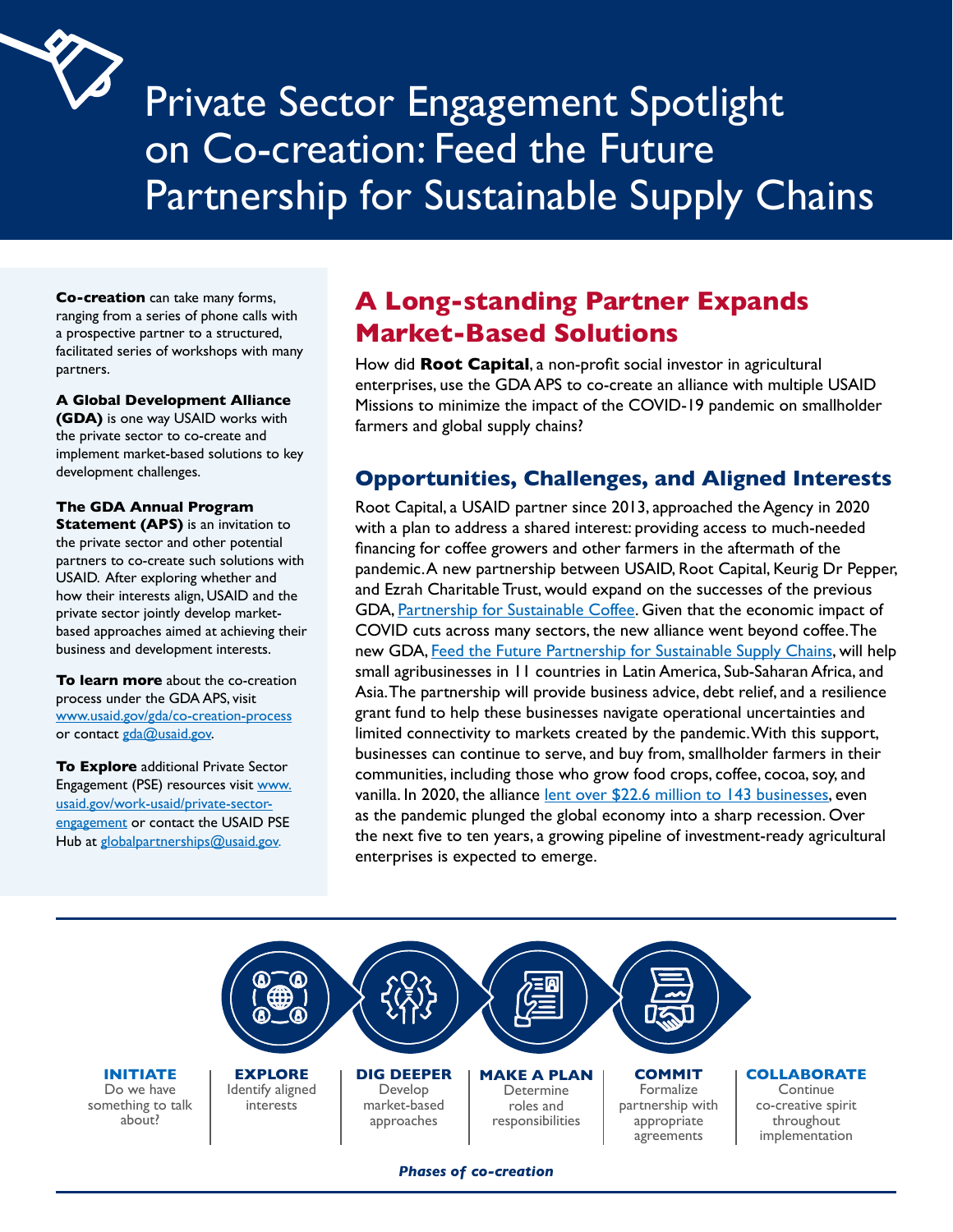

Private Sector Engagement Spotlight on Co-creation: Feed the Future Partnership for Sustainable Supply Chains

**Co-creation** can take many forms, ranging from a series of phone calls with a prospective partner to a structured, facilitated series of workshops with many partners.

#### **A Global Development Alliance**

 development challenges. **(GDA)** is one way USAID works with the private sector to co-create and implement market-based solutions to key

#### **The GDA Annual Program**

 USAID. After exploring whether and **Statement (APS)** is an invitation to the private sector and other potential partners to co-create such solutions with how their interests align, USAID and the private sector jointly develop marketbased approaches aimed at achieving their business and development interests.

www.usaid.gov/gda/co-creation-process<br>or contact <u>gda@usaid.gov</u>. **To learn more** about the co-creation process under the GDA APS, visit

**To Explore** additional Private Sector Engagement (PSE) resources visit www. usaid.gov/work-usaid/private-sectorengagement or contact the USAID PSE Hub at globalpartnerships@usaid.gov.

# **A Long-standing Partner Expands Market-Based Solutions**

How did **Root Capital**, a non-profit social investor in agricultural enterprises, use the GDA APS to co-create an alliance with multiple USAID Missions to minimize the impact of the COVID-19 pandemic on smallholder farmers and global supply chains?

### **Opportunities, Challenges, and Aligned Interests**

Root Capital, a USAID partner since 2013, approached the Agency in 2020 with a plan to address a shared interest: providing access to much-needed financing for coffee growers and other farmers in the aftermath of the pandemic.A new partnership between USAID, Root Capital, Keurig Dr Pepper, and Ezrah Charitable Trust, would expand on the successes of the previous GDA[, Partnership for Sustainable Coffee](https://rootcapital.org/corporate-government-partners-support-smallholder-coffee-farmers/). Given that the economic impact of COVID cuts across many sectors, the new alliance went beyond coffee.The new GDA, [Feed the Future Partnership for Sustainable Supply Chains](https://www.usaid.gov/news-information/press-releases/dec-14-2020-usaid-announces-new-partnership-root-capital-keurig-dr-pepper-ezrah), will help small agribusinesses in 11 countries in Latin America, Sub-Saharan Africa, and Asia.The partnership will provide business advice, debt relief, and a resilience grant fund to help these businesses navigate operational uncertainties and limited connectivity to markets created by the pandemic.With this support, businesses can continue to serve, and buy from, smallholder farmers in their communities, including those who grow food crops, coffee, cocoa, soy, and vanilla. In 2020, the alliance [lent over \\$22.6 million to 143 businesses,](https://www.google.com/url?q=https://www.feedthefuture.gov/article/without-public-private-partnerships-your-morning-cup-of-coffee-might-not-exist/&sa=D&source=docs&ust=1633998677528000&usg=AOvVaw115Vpf43Sn9R4p3arNL-dY) even as the pandemic plunged the global economy into a sharp recession. Over the next five to ten years, a growing pipeline of investment-ready agricultural enterprises is expected to emerge.